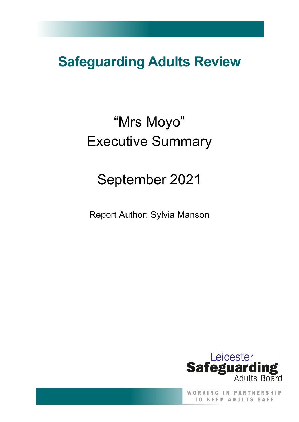## **Safeguarding Adults Review**

`

# "Mrs Moyo" Executive Summary

# September 2021

Report Author: Sylvia Manson



WORKING IN PARTNERSHIP **TO KEEP ADULTS SAFE**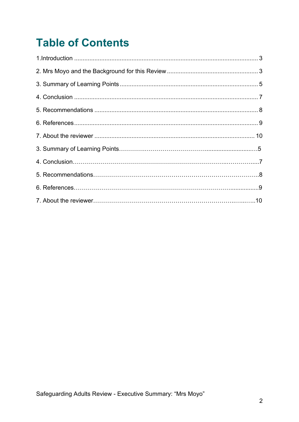### **Table of Contents**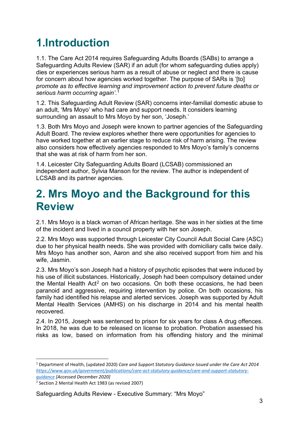### <span id="page-2-0"></span>**1.Introduction**

1.1. The Care Act 2014 requires Safeguarding Adults Boards (SABs) to arrange a Safeguarding Adults Review (SAR) if an adult (for whom safeguarding duties apply) dies or experiences serious harm as a result of abuse or neglect and there is cause for concern about how agencies worked together. The purpose of SARs is '[to] *promote as to effective learning and improvement action to prevent future deaths or serious harm occurring again'*. [1](#page-2-2)

1.2. This Safeguarding Adult Review (SAR) concerns inter-familial domestic abuse to an adult, 'Mrs Moyo' who had care and support needs. It considers learning surrounding an assault to Mrs Moyo by her son, 'Joseph.'

1.3. Both Mrs Moyo and Joseph were known to partner agencies of the Safeguarding Adult Board. The review explores whether there were opportunities for agencies to have worked together at an earlier stage to reduce risk of harm arising. The review also considers how effectively agencies responded to Mrs Moyo's family's concerns that she was at risk of harm from her son.

1.4. Leicester City Safeguarding Adults Board (LCSAB) commissioned an independent author, Sylvia Manson for the review. The author is independent of LCSAB and its partner agencies.

#### <span id="page-2-1"></span>**2. Mrs Moyo and the Background for this Review**

2.1. Mrs Moyo is a black woman of African heritage. She was in her sixties at the time of the incident and lived in a council property with her son Joseph.

2.2. Mrs Moyo was supported through Leicester City Council Adult Social Care (ASC) due to her physical health needs. She was provided with domiciliary calls twice daily. Mrs Moyo has another son, Aaron and she also received support from him and his wife, Jasmin.

2.3. Mrs Moyo's son Joseph had a history of psychotic episodes that were induced by his use of illicit substances. Historically, Joseph had been compulsory detained under the Mental Health Act<sup>[2](#page-2-3)</sup> on two occasions. On both these occasions, he had been paranoid and aggressive, requiring intervention by police. On both occasions, his family had identified his relapse and alerted services. Joseph was supported by Adult Mental Health Services (AMHS) on his discharge in 2014 and his mental health recovered.

2.4. In 2015, Joseph was sentenced to prison for six years for class A drug offences. In 2018, he was due to be released on license to probation. Probation assessed his risks as low, based on information from his offending history and the minimal

<span id="page-2-2"></span><sup>1</sup> Department of Health, (updated 2020) *Care and Support Statutory Guidance Issued under the Care Act 2014 [https://www.gov.uk/government/publications/care-act-statutory-guidance/care-and-support-statutory](https://www.gov.uk/government/publications/care-act-statutory-guidance/care-and-support-statutory-guidance)[guidance](https://www.gov.uk/government/publications/care-act-statutory-guidance/care-and-support-statutory-guidance) [Accessed December 2020]*

<span id="page-2-3"></span><sup>2</sup> Section 2 Mental Health Act 1983 (as revised 2007)

Safeguarding Adults Review - Executive Summary: "Mrs Moyo"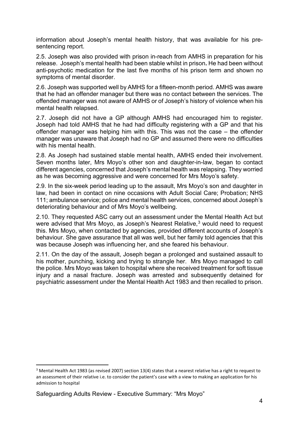information about Joseph's mental health history, that was available for his presentencing report.

2.5. Joseph was also provided with prison in-reach from AMHS in preparation for his release. Joseph's mental health had been stable whilst in prison**.** He had been without anti-psychotic medication for the last five months of his prison term and shown no symptoms of mental disorder.

2.6. Joseph was supported well by AMHS for a fifteen-month period. AMHS was aware that he had an offender manager but there was no contact between the services. The offended manager was not aware of AMHS or of Joseph's history of violence when his mental health relapsed.

2.7. Joseph did not have a GP although AMHS had encouraged him to register. Joseph had told AMHS that he had had difficulty registering with a GP and that his offender manager was helping him with this. This was not the case – the offender manager was unaware that Joseph had no GP and assumed there were no difficulties with his mental health.

2.8. As Joseph had sustained stable mental health, AMHS ended their involvement. Seven months later, Mrs Moyo's other son and daughter-in-law, began to contact different agencies, concerned that Joseph's mental health was relapsing. They worried as he was becoming aggressive and were concerned for Mrs Moyo's safety.

2.9. In the six-week period leading up to the assault, Mrs Moyo's son and daughter in law, had been in contact on nine occasions with Adult Social Care; Probation; NHS 111; ambulance service; police and mental health services, concerned about Joseph's deteriorating behaviour and of Mrs Moyo's wellbeing.

2.10. They requested ASC carry out an assessment under the Mental Health Act but were advised that Mrs Movo, as Joseph's Nearest Relative,<sup>[3](#page-3-0)</sup> would need to request this. Mrs Moyo, when contacted by agencies, provided different accounts of Joseph's behaviour. She gave assurance that all was well, but her family told agencies that this was because Joseph was influencing her, and she feared his behaviour.

2.11. On the day of the assault, Joseph began a prolonged and sustained assault to his mother, punching, kicking and trying to strangle her. Mrs Moyo managed to call the police. Mrs Moyo was taken to hospital where she received treatment for soft tissue injury and a nasal fracture. Joseph was arrested and subsequently detained for psychiatric assessment under the Mental Health Act 1983 and then recalled to prison.

<span id="page-3-0"></span><sup>&</sup>lt;sup>3</sup> Mental Health Act 1983 (as revised 2007) section 13(4) states that a nearest relative has a right to request to an assessment of their relative i.e. to consider the patient's case with a view to making an application for his admission to hospital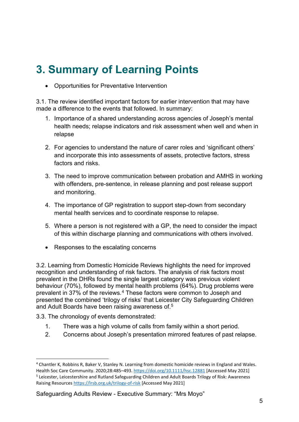### <span id="page-4-0"></span>**3. Summary of Learning Points**

• Opportunities for Preventative Intervention

3.1. The review identified important factors for earlier intervention that may have made a difference to the events that followed. In summary:

- 1. Importance of a shared understanding across agencies of Joseph's mental health needs; relapse indicators and risk assessment when well and when in relapse
- 2. For agencies to understand the nature of carer roles and 'significant others' and incorporate this into assessments of assets, protective factors, stress factors and risks.
- 3. The need to improve communication between probation and AMHS in working with offenders, pre-sentence, in release planning and post release support and monitoring.
- 4. The importance of GP registration to support step-down from secondary mental health services and to coordinate response to relapse.
- 5. Where a person is not registered with a GP, the need to consider the impact of this within discharge planning and communications with others involved.
- Responses to the escalating concerns

3.2. Learning from Domestic Homicide Reviews highlights the need for improved recognition and understanding of risk factors. The analysis of risk factors most prevalent in the DHRs found the single largest category was previous violent behaviour (70%), followed by mental health problems (64%). Drug problems were prevalent in 37% of the reviews*.* [4](#page-4-1) These factors were common to Joseph and presented the combined 'trilogy of risks' that Leicester City Safeguarding Children and Adult Boards have been raising awareness of <sup>[5](#page-4-2)</sup>

3.3. The chronology of events demonstrated:

- 1. There was a high volume of calls from family within a short period.
- 2. Concerns about Joseph's presentation mirrored features of past relapse.

Safeguarding Adults Review - Executive Summary: "Mrs Moyo"

<span id="page-4-2"></span><span id="page-4-1"></span><sup>4</sup> Chantler K, Robbins R, Baker V, Stanley N. Learning from domestic homicide reviews in England and Wales. Health Soc Care Community. 2020;28:485–493.<https://doi.org/10.1111/hsc.12881> [Accessed May 2021] <sup>5</sup> Leicester, Leicestershire and Rutland Safeguarding Children and Adult Boards Trilogy of Risk: Awareness Raising Resource[s https://lrsb.org.uk/trilogy-of-risk](https://lrsb.org.uk/trilogy-of-risk) [Accessed May 2021]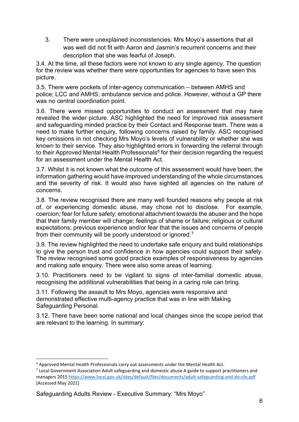3. There were unexplained inconsistencies: Mrs Moyo's assertions that all was well did not fit with Aaron and Jasmin's recurrent concerns and their description that she was fearful of Joseph.

3.4. At the time, all these factors were not known to any single agency. The question for the review was whether there were opportunities for agencies to have seen this picture.

3.5. There were pockets of inter-agency communication – between AMHS and police; LCC and AMHS; ambulance service and police. However, without a GP there was no central coordination point.

3.6. There were missed opportunities to conduct an assessment that may have revealed the wider picture. ASC highlighted the need for improved risk assessment and safeguarding minded practice by their Contact and Response team. There was a need to make further enquiry, following concerns raised by family. ASC recognised key omissions in not checking Mrs Moyo's levels of vulnerability or whether she was known to their service. They also highlighted errors in forwarding the referral through to their Approved Mental Health Professionals $6$  for their decision regarding the request for an assessment under the Mental Health Act.

3.7. Whilst it is not known what the outcome of this assessment would have been, the information gathering would have improved understanding of the whole circumstances and the severity of risk. It would also have sighted all agencies on the nature of concerns.

3.8. The review recognised there are many well founded reasons why people at risk of, or experiencing domestic abuse, may chose not to disclose. For example, coercion; fear for future safety; emotional attachment towards the abuser and the hope that their family member will change; feelings of shame or failure; religious or cultural expectations; previous experience and/or fear that the issues and concerns of people from their community will be poorly understood or ignored.<sup>[7](#page-5-1)</sup>

3.9. The review highlighted the need to undertake safe enquiry and build relationships to give the person trust and confidence in how agencies could support their safety. The review recognised some good practice examples of responsiveness by agencies and making safe enquiry. There were also some areas of learning.

3.10. Practitioners need to be vigilant to signs of inter-familial domestic abuse, recognising the additional vulnerabilities that being in a caring role can bring.

3.11. Following the assault to Mrs Moyo, agencies were responsive and demonstrated effective multi-agency practice that was in line with Making Safeguarding Personal.

3.12. There have been some national and local changes since the scope period that are relevant to the learning. In summary:

Safeguarding Adults Review - Executive Summary: "Mrs Moyo"

<span id="page-5-0"></span><sup>6</sup> Approved Mental Health Professionals carry out assessments under the Mental Health Act.

<span id="page-5-1"></span><sup>&</sup>lt;sup>7</sup> Local Government Association Adult safeguarding and domestic abuse A guide to support practitioners and managers 201[5 https://www.local.gov.uk/sites/default/files/documents/adult-safeguarding-and-do-cfe.pdf](https://www.local.gov.uk/sites/default/files/documents/adult-safeguarding-and-do-cfe.pdf) [Accessed May 2021]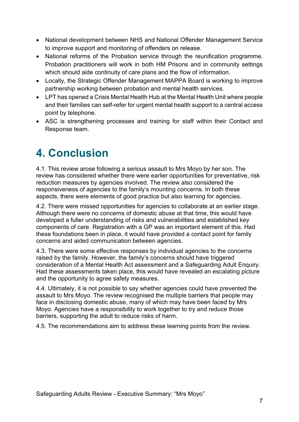- National development between NHS and National Offender Management Service to improve support and monitoring of offenders on release.
- National reforms of the Probation service through the reunification programme. Probation practitioners will work in both HM Prisons and in community settings which should aide continuity of care plans and the flow of information.
- Locally, the Strategic Offender Management MAPPA Board is working to improve partnership working between probation and mental health services.
- LPT has opened a Crisis Mental Health Hub at the Mental Health Unit where people and their families can self-refer for urgent mental health support to a central access point by telephone.
- ASC is strengthening processes and training for staff within their Contact and Response team.

#### <span id="page-6-0"></span>**4. Conclusion**

4.1. This review arose following a serious assault to Mrs Moyo by her son. The review has considered whether there were earlier opportunities for preventative, risk reduction measures by agencies involved. The review also considered the responsiveness of agencies to the family's mounting concerns. In both these aspects, there were elements of good practice but also learning for agencies.

4.2. There were missed opportunities for agencies to collaborate at an earlier stage. Although there were no concerns of domestic abuse at that time, this would have developed a fuller understanding of risks and vulnerabilities and established key components of care. Registration with a GP was an important element of this. Had these foundations been in place, it would have provided a contact point for family concerns and aided communication between agencies.

4.3. There were some effective responses by individual agencies to the concerns raised by the family. However, the family's concerns should have triggered consideration of a Mental Health Act assessment and a Safeguarding Adult Enquiry. Had these assessments taken place, this would have revealed an escalating picture and the opportunity to agree safety measures.

4.4. Ultimately, it is not possible to say whether agencies could have prevented the assault to Mrs Moyo. The review recognised the multiple barriers that people may face in disclosing domestic abuse, many of which may have been faced by Mrs Moyo. Agencies have a responsibility to work together to try and reduce those barriers, supporting the adult to reduce risks of harm.

4.5. The recommendations aim to address these learning points from the review.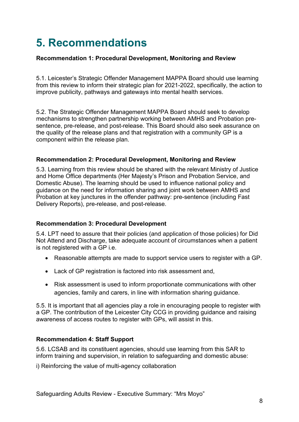### <span id="page-7-0"></span>**5. Recommendations**

#### **Recommendation 1: Procedural Development, Monitoring and Review**

5.1. Leicester's Strategic Offender Management MAPPA Board should use learning from this review to inform their strategic plan for 2021-2022, specifically, the action to improve publicity, pathways and gateways into mental health services.

5.2. The Strategic Offender Management MAPPA Board should seek to develop mechanisms to strengthen partnership working between AMHS and Probation presentence, pre-release, and post-release. This Board should also seek assurance on the quality of the release plans and that registration with a community GP is a component within the release plan.

#### **Recommendation 2: Procedural Development, Monitoring and Review**

5.3. Learning from this review should be shared with the relevant Ministry of Justice and Home Office departments (Her Majesty's Prison and Probation Service, and Domestic Abuse). The learning should be used to influence national policy and guidance on the need for information sharing and joint work between AMHS and Probation at key junctures in the offender pathway: pre-sentence (including Fast Delivery Reports), pre-release, and post-release.

#### **Recommendation 3: Procedural Development**

5.4. LPT need to assure that their policies (and application of those policies) for Did Not Attend and Discharge, take adequate account of circumstances when a patient is not registered with a GP i.e.

- Reasonable attempts are made to support service users to register with a GP.
- Lack of GP registration is factored into risk assessment and,
- Risk assessment is used to inform proportionate communications with other agencies, family and carers, in line with information sharing guidance.

5.5. It is important that all agencies play a role in encouraging people to register with a GP. The contribution of the Leicester City CCG in providing guidance and raising awareness of access routes to register with GPs, will assist in this.

#### **Recommendation 4: Staff Support**

5.6. LCSAB and its constituent agencies, should use learning from this SAR to inform training and supervision, in relation to safeguarding and domestic abuse:

i) Reinforcing the value of multi-agency collaboration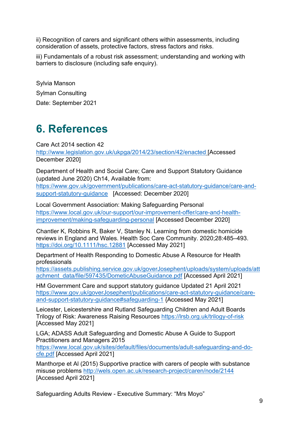ii) Recognition of carers and significant others within assessments, including consideration of assets, protective factors, stress factors and risks.

iii) Fundamentals of a robust risk assessment; understanding and working with barriers to disclosure (including safe enquiry).

Sylvia Manson Sylman Consulting Date: September 2021

### <span id="page-8-0"></span>**6. References**

Care Act 2014 section 42

<http://www.legislation.gov.uk/ukpga/2014/23/section/42/enacted> [Accessed December 2020]

Department of Health and Social Care; Care and Support Statutory Guidance (updated June 2020) Ch14, Available from:

[https://www.gov.uk/government/publications/care-act-statutory-guidance/care-and](https://www.gov.uk/government/publications/care-act-statutory-guidance/care-and-support-statutory-guidance)[support-statutory-guidance](https://www.gov.uk/government/publications/care-act-statutory-guidance/care-and-support-statutory-guidance) [Accessed: December 2020]

Local Government Association: Making Safeguarding Personal [https://www.local.gov.uk/our-support/our-improvement-offer/care-and-health](https://www.local.gov.uk/our-support/our-improvement-offer/care-and-health-improvement/making-safeguarding-personal)[improvement/making-safeguarding-personal](https://www.local.gov.uk/our-support/our-improvement-offer/care-and-health-improvement/making-safeguarding-personal) [Accessed December 2020]

Chantler K, Robbins R, Baker V, Stanley N. Learning from domestic homicide reviews in England and Wales. Health Soc Care Community. 2020;28:485–493. <https://doi.org/10.1111/hsc.12881> [Accessed May 2021]

Department of Health Responding to Domestic Abuse A Resource for Health professionals

[https://assets.publishing.service.gov.uk/goverJosephent/uploads/system/uploads/att](https://assets.publishing.service.gov.uk/government/uploads/system/uploads/attachment_data/file/597435/DometicAbuseGuidance.pdf) [achment\\_data/file/597435/DometicAbuseGuidance.pdf](https://assets.publishing.service.gov.uk/government/uploads/system/uploads/attachment_data/file/597435/DometicAbuseGuidance.pdf) [Accessed April 2021]

HM Government Care and support statutory guidance Updated 21 April 2021 [https://www.gov.uk/goverJosephent/publications/care-act-statutory-guidance/care](https://www.gov.uk/government/publications/care-act-statutory-guidance/care-and-support-statutory-guidance#safeguarding-1)[and-support-statutory-guidance#safeguarding-1](https://www.gov.uk/government/publications/care-act-statutory-guidance/care-and-support-statutory-guidance#safeguarding-1) {Accessed May 2021]

Leicester, Leicestershire and Rutland Safeguarding Children and Adult Boards Trilogy of Risk: Awareness Raising Resources<https://lrsb.org.uk/trilogy-of-risk> [Accessed May 2021]

LGA; ADASS Adult Safeguarding and Domestic Abuse A Guide to Support Practitioners and Managers 2015

[https://www.local.gov.uk/sites/default/files/documents/adult-safeguarding-and-do](https://www.local.gov.uk/sites/default/files/documents/adult-safeguarding-and-do-cfe.pdf)[cfe.pdf](https://www.local.gov.uk/sites/default/files/documents/adult-safeguarding-and-do-cfe.pdf) [Accessed April 2021]

Manthorpe et Al (2015) Supportive practice with carers of people with substance misuse problems<http://wels.open.ac.uk/research-project/caren/node/2144> [Accessed April 2021]

Safeguarding Adults Review - Executive Summary: "Mrs Moyo"